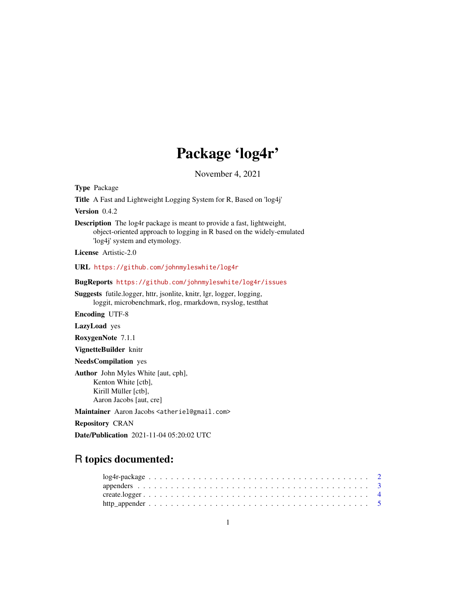## Package 'log4r'

November 4, 2021

<span id="page-0-0"></span>Type Package

Title A Fast and Lightweight Logging System for R, Based on 'log4j'

Version 0.4.2

Description The log4r package is meant to provide a fast, lightweight, object-oriented approach to logging in R based on the widely-emulated 'log4j' system and etymology.

License Artistic-2.0

URL <https://github.com/johnmyleswhite/log4r>

BugReports <https://github.com/johnmyleswhite/log4r/issues>

Suggests futile.logger, httr, jsonlite, knitr, lgr, logger, logging, loggit, microbenchmark, rlog, rmarkdown, rsyslog, testthat

Encoding UTF-8

LazyLoad yes

RoxygenNote 7.1.1

VignetteBuilder knitr

NeedsCompilation yes

Author John Myles White [aut, cph], Kenton White [ctb], Kirill Müller [ctb], Aaron Jacobs [aut, cre]

Maintainer Aaron Jacobs <atheriel@gmail.com>

Repository CRAN

Date/Publication 2021-11-04 05:20:02 UTC

## R topics documented: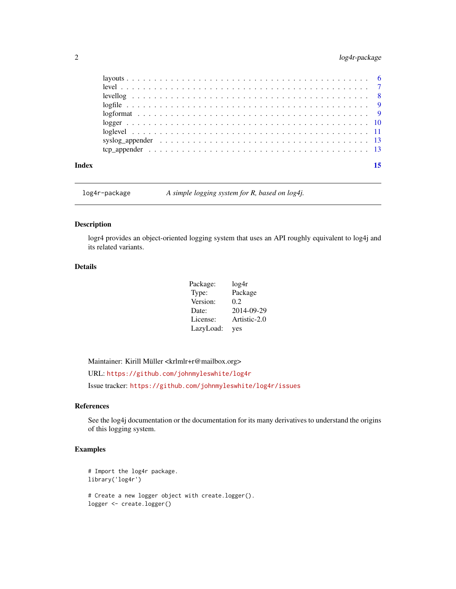### <span id="page-1-0"></span>2 log4r-package

| Index |                                                                                                              |  |
|-------|--------------------------------------------------------------------------------------------------------------|--|
|       |                                                                                                              |  |
|       | syslog appender $\ldots \ldots \ldots \ldots \ldots \ldots \ldots \ldots \ldots \ldots \ldots \ldots \ldots$ |  |
|       |                                                                                                              |  |
|       |                                                                                                              |  |
|       |                                                                                                              |  |
|       |                                                                                                              |  |
|       |                                                                                                              |  |
|       |                                                                                                              |  |
|       |                                                                                                              |  |

log4r-package *A simple logging system for R, based on log4j.*

#### Description

logr4 provides an object-oriented logging system that uses an API roughly equivalent to log4j and its related variants.

#### Details

| Package:  | log4r        |
|-----------|--------------|
| Type:     | Package      |
| Version:  | 0.2          |
| Date:     | 2014-09-29   |
| License:  | Artistic-2.0 |
| LazyLoad: | yes          |

Maintainer: Kirill Müller <krlmlr+r@mailbox.org>

URL: <https://github.com/johnmyleswhite/log4r>

Issue tracker: <https://github.com/johnmyleswhite/log4r/issues>

#### References

See the log4j documentation or the documentation for its many derivatives to understand the origins of this logging system.

```
# Import the log4r package.
library('log4r')
# Create a new logger object with create.logger().
logger <- create.logger()
```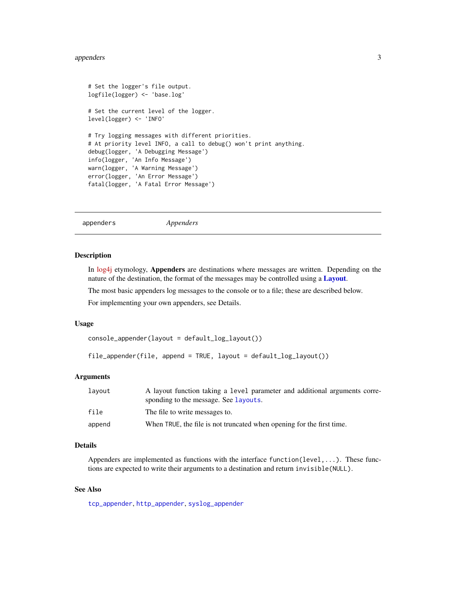#### <span id="page-2-0"></span>appenders 3

```
# Set the logger's file output.
logfile(logger) <- 'base.log'
# Set the current level of the logger.
level(logger) <- 'INFO'
# Try logging messages with different priorities.
# At priority level INFO, a call to debug() won't print anything.
debug(logger, 'A Debugging Message')
info(logger, 'An Info Message')
warn(logger, 'A Warning Message')
error(logger, 'An Error Message')
fatal(logger, 'A Fatal Error Message')
```
<span id="page-2-1"></span>appenders *Appenders*

#### Description

In [log4j](https://logging.apache.org/log4j/) etymology, Appenders are destinations where messages are written. Depending on the nature of the destination, the format of the messages may be controlled using a [Layout](#page-5-1).

The most basic appenders log messages to the console or to a file; these are described below.

For implementing your own appenders, see Details.

#### Usage

```
console_appender(layout = default_log_layout())
```
file\_appender(file, append = TRUE, layout = default\_log\_layout())

#### Arguments

| lavout | A layout function taking a level parameter and additional arguments corre-<br>sponding to the message. See Layouts. |
|--------|---------------------------------------------------------------------------------------------------------------------|
| file   | The file to write messages to.                                                                                      |
| append | When TRUE, the file is not truncated when opening for the first time.                                               |

#### Details

Appenders are implemented as functions with the interface function(level,...). These functions are expected to write their arguments to a destination and return invisible(NULL).

#### See Also

[tcp\\_appender](#page-12-1), [http\\_appender](#page-4-1), [syslog\\_appender](#page-12-2)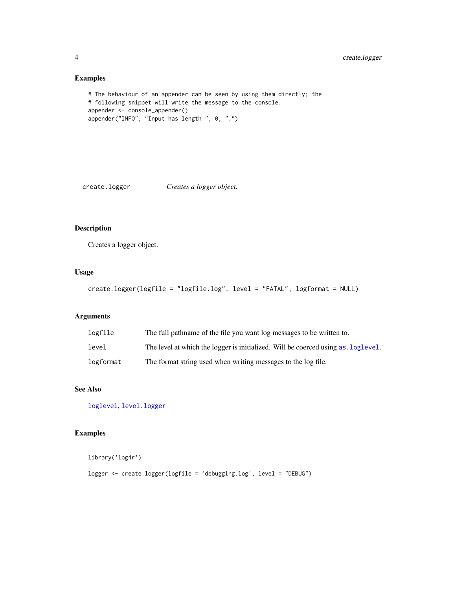#### Examples

```
# The behaviour of an appender can be seen by using them directly; the
# following snippet will write the message to the console.
appender <- console_appender()
appender("INFO", "Input has length ", 0, ".")
```
create.logger *Creates a logger object.*

#### Description

Creates a logger object.

#### Usage

```
create.logger(logfile = "logfile.log", level = "FATAL", logformat = NULL)
```
#### Arguments

| logfile   | The full pathname of the file you want log messages to be written to.            |
|-----------|----------------------------------------------------------------------------------|
| level     | The level at which the logger is initialized. Will be coerced using as loglevel. |
| logformat | The format string used when writing messages to the log file.                    |

#### See Also

[loglevel](#page-10-2), [level.logger](#page-6-1)

#### Examples

library('log4r')

logger <- create.logger(logfile = 'debugging.log', level = "DEBUG")

<span id="page-3-0"></span>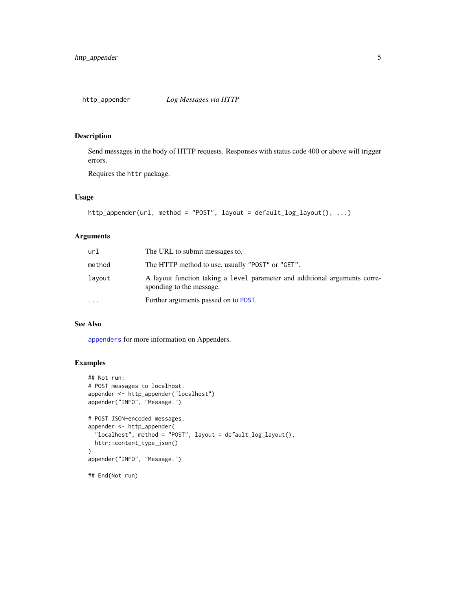<span id="page-4-1"></span><span id="page-4-0"></span>Send messages in the body of HTTP requests. Responses with status code 400 or above will trigger errors.

Requires the httr package.

#### Usage

```
http_appender(url, method = "POST", layout = default_log_layout(), ...)
```
#### Arguments

| url       | The URL to submit messages to.                                                                         |
|-----------|--------------------------------------------------------------------------------------------------------|
| method    | The HTTP method to use, usually "POST" or "GET".                                                       |
| lavout    | A layout function taking a level parameter and additional arguments corre-<br>sponding to the message. |
| $\ddotsc$ | Further arguments passed on to POST.                                                                   |

#### See Also

[appenders](#page-2-1) for more information on Appenders.

```
## Not run:
# POST messages to localhost.
appender <- http_appender("localhost")
appender("INFO", "Message.")
# POST JSON-encoded messages.
appender <- http_appender(
  "localhost", method = "POST", layout = default_log_layout(),
 httr::content_type_json()
)
appender("INFO", "Message.")
## End(Not run)
```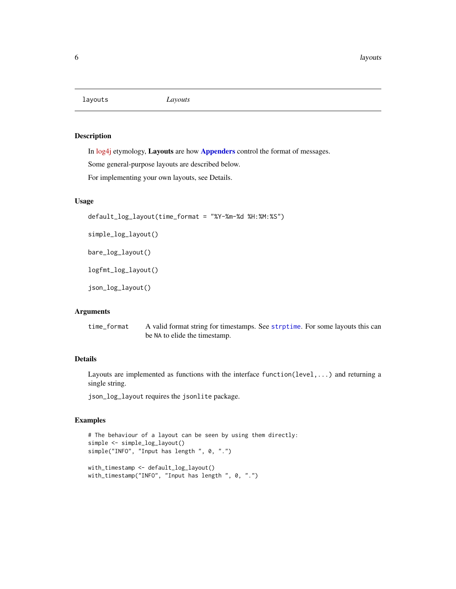<span id="page-5-1"></span><span id="page-5-0"></span>layouts *Layouts*

#### Description

In [log4j](https://logging.apache.org/log4j/) etymology, Layouts are how [Appenders](#page-2-1) control the format of messages.

Some general-purpose layouts are described below.

For implementing your own layouts, see Details.

### Usage

```
default_log_layout(time_format = "%Y-%m-%d %H:%M:%S")
```
simple\_log\_layout()

bare\_log\_layout()

logfmt\_log\_layout()

json\_log\_layout()

#### Arguments

time\_format A valid format string for timestamps. See [strptime](#page-0-0). For some layouts this can be NA to elide the timestamp.

#### Details

Layouts are implemented as functions with the interface function(level,...) and returning a single string.

json\_log\_layout requires the jsonlite package.

```
# The behaviour of a layout can be seen by using them directly:
simple <- simple_log_layout()
simple("INFO", "Input has length ", 0, ".")
with_timestamp <- default_log_layout()
with_timestamp("INFO", "Input has length ", 0, ".")
```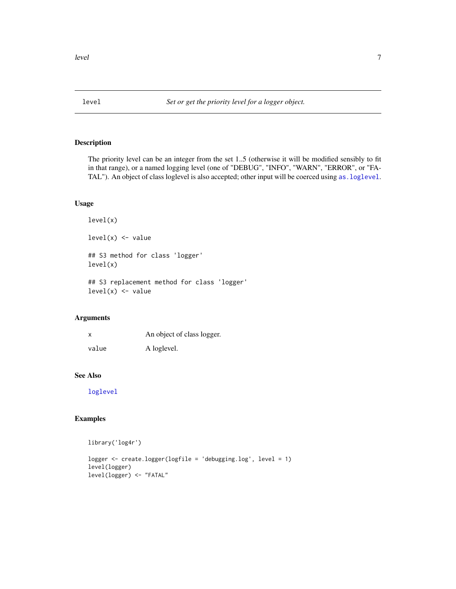<span id="page-6-1"></span><span id="page-6-0"></span>

The priority level can be an integer from the set 1..5 (otherwise it will be modified sensibly to fit in that range), or a named logging level (one of "DEBUG", "INFO", "WARN", "ERROR", or "FA-TAL"). An object of class loglevel is also accepted; other input will be coerced using [as.loglevel](#page-10-1).

#### Usage

level(x)  $level(x)$  <- value

## S3 method for class 'logger' level(x)

## S3 replacement method for class 'logger'  $level(x) < - value$ 

#### Arguments

| X     | An object of class logger. |
|-------|----------------------------|
| value | A loglevel.                |

#### See Also

[loglevel](#page-10-2)

```
library('log4r')
logger <- create.logger(logfile = 'debugging.log', level = 1)
level(logger)
level(logger) <- "FATAL"
```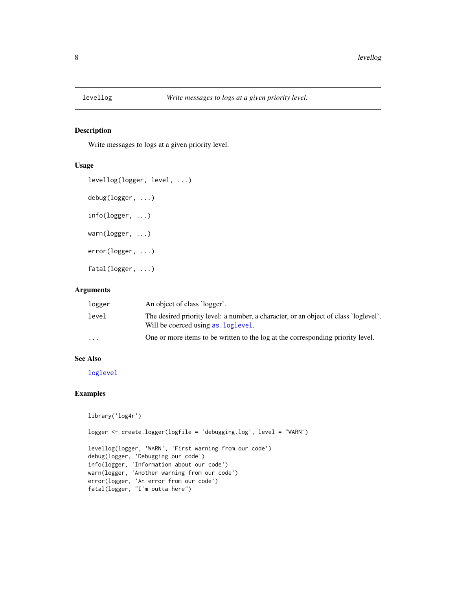<span id="page-7-0"></span>

Write messages to logs at a given priority level.

#### Usage

```
levellog(logger, level, ...)
debug(logger, ...)
info(logger, ...)
warn(logger, ...)
error(logger, ...)
fatal(logger, ...)
```
#### Arguments

| logger                  | An object of class 'logger'.                                                                                                |
|-------------------------|-----------------------------------------------------------------------------------------------------------------------------|
| level                   | The desired priority level: a number, a character, or an object of class 'loglevel'.<br>Will be coerced using as, loglevel. |
| $\cdot$ $\cdot$ $\cdot$ | One or more items to be written to the log at the corresponding priority level.                                             |

#### See Also

[loglevel](#page-10-2)

```
library('log4r')
logger <- create.logger(logfile = 'debugging.log', level = "WARN")
levellog(logger, 'WARN', 'First warning from our code')
debug(logger, 'Debugging our code')
info(logger, 'Information about our code')
warn(logger, 'Another warning from our code')
error(logger, 'An error from our code')
fatal(logger, "I'm outta here")
```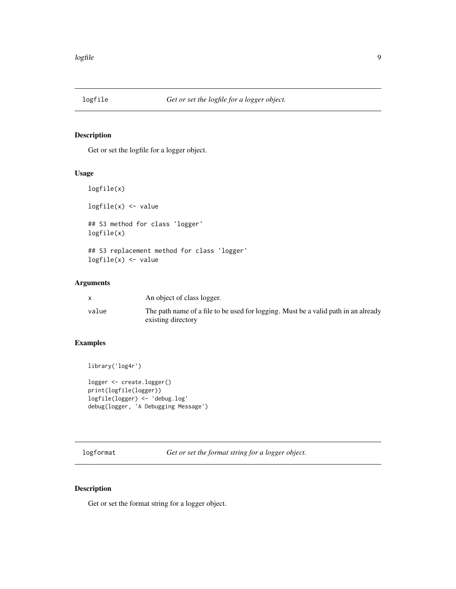<span id="page-8-0"></span>

Get or set the logfile for a logger object.

#### Usage

logfile(x) logfile(x) <- value ## S3 method for class 'logger' logfile(x) ## S3 replacement method for class 'logger' logfile(x) <- value

#### Arguments

|       | An object of class logger.                                                                               |
|-------|----------------------------------------------------------------------------------------------------------|
| value | The path name of a file to be used for logging. Must be a valid path in an already<br>existing directory |

#### Examples

```
library('log4r')
logger <- create.logger()
print(logfile(logger))
logfile(logger) <- 'debug.log'
debug(logger, 'A Debugging Message')
```
logformat *Get or set the format string for a logger object.*

#### Description

Get or set the format string for a logger object.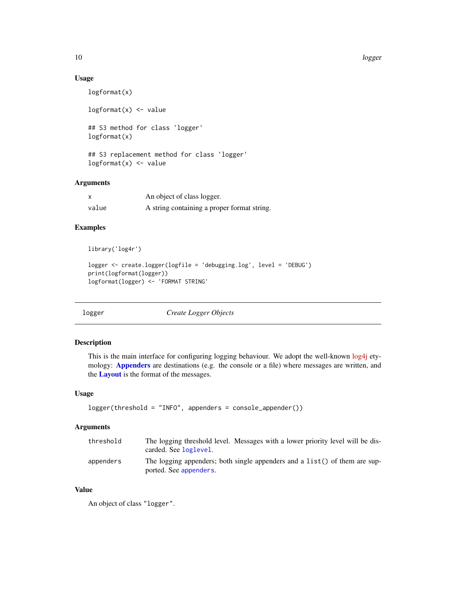#### Usage

```
logformat(x)
logformat(x) < - value## S3 method for class 'logger'
logformat(x)
```

```
## S3 replacement method for class 'logger'
logformat(x) \leftarrow value
```
#### Arguments

|       | An object of class logger.                  |
|-------|---------------------------------------------|
| value | A string containing a proper format string. |

#### Examples

```
library('log4r')
```

```
logger <- create.logger(logfile = 'debugging.log', level = 'DEBUG')
print(logformat(logger))
logformat(logger) <- 'FORMAT STRING'
```

| ο<br>с<br>x. |  |
|--------------|--|
|              |  |

**Create Logger Objects** 

#### Description

This is the main interface for configuring logging behaviour. We adopt the well-known [log4j](https://logging.apache.org/log4j/) etymology: [Appenders](#page-2-1) are destinations (e.g. the console or a file) where messages are written, and the **[Layout](#page-5-1)** is the format of the messages.

#### Usage

```
logger(threshold = "INFO", appenders = console_appender())
```
#### Arguments

| threshold | The logging threshold level. Messages with a lower priority level will be dis-<br>carded. See loglevel. |
|-----------|---------------------------------------------------------------------------------------------------------|
| appenders | The logging appenders; both single appenders and a list() of them are sup-<br>ported. See appenders.    |

#### Value

An object of class "logger".

<span id="page-9-0"></span>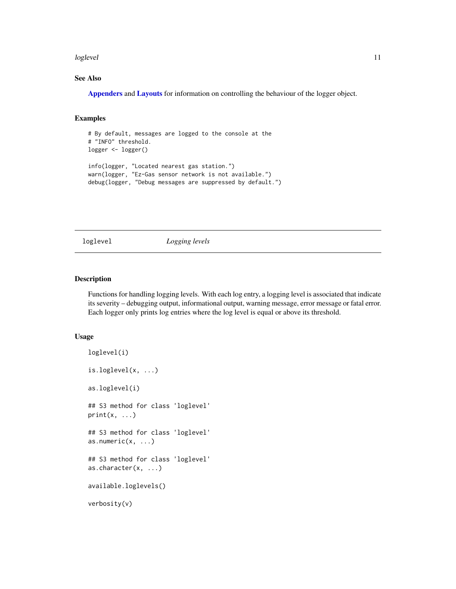#### <span id="page-10-0"></span>loglevel the contract of the contract of the contract of the contract of the contract of the contract of the contract of the contract of the contract of the contract of the contract of the contract of the contract of the c

#### See Also

[Appenders](#page-2-1) and [Layouts](#page-5-1) for information on controlling the behaviour of the logger object.

#### Examples

```
# By default, messages are logged to the console at the
# "INFO" threshold.
logger <- logger()
info(logger, "Located nearest gas station.")
warn(logger, "Ez-Gas sensor network is not available.")
debug(logger, "Debug messages are suppressed by default.")
```
<span id="page-10-2"></span>loglevel *Logging levels*

#### <span id="page-10-1"></span>Description

Functions for handling logging levels. With each log entry, a logging level is associated that indicate its severity – debugging output, informational output, warning message, error message or fatal error. Each logger only prints log entries where the log level is equal or above its threshold.

#### Usage

```
loglevel(i)
is.loglevel(x, ...)
as.loglevel(i)
## S3 method for class 'loglevel'
print(x, \ldots)## S3 method for class 'loglevel'
as.numeric(x, ...)
## S3 method for class 'loglevel'
as.character(x, ...)
available.loglevels()
verbosity(v)
```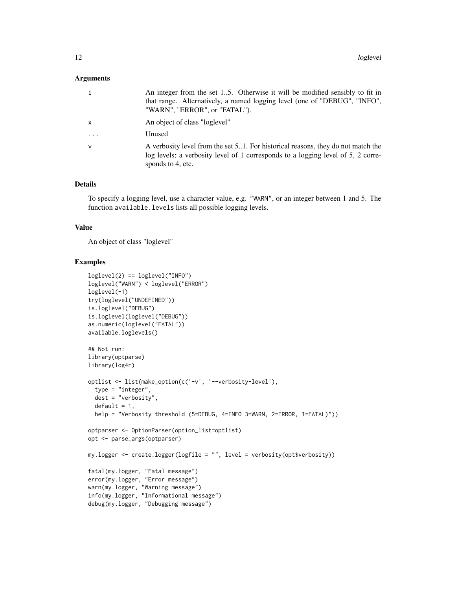#### **Arguments**

| $\mathbf{i}$ | An integer from the set 15. Otherwise it will be modified sensibly to fit in<br>that range. Alternatively, a named logging level (one of "DEBUG", "INFO",<br>"WARN", "ERROR", or "FATAL"). |
|--------------|--------------------------------------------------------------------------------------------------------------------------------------------------------------------------------------------|
| $\mathsf{x}$ | An object of class "loglevel"                                                                                                                                                              |
| $\cdots$     | Unused                                                                                                                                                                                     |
| $\mathsf{v}$ | A verbosity level from the set 51. For historical reasons, they do not match the<br>log levels; a verbosity level of 1 corresponds to a logging level of 5, 2 corre-<br>sponds to 4, etc.  |

#### Details

To specify a logging level, use a character value, e.g. "WARN", or an integer between 1 and 5. The function available.levels lists all possible logging levels.

#### Value

An object of class "loglevel"

```
loglevel(2) == loglevel("INFO")
loglevel("WARN") < loglevel("ERROR")
loglevel(-1)
try(loglevel("UNDEFINED"))
is.loglevel("DEBUG")
is.loglevel(loglevel("DEBUG"))
as.numeric(loglevel("FATAL"))
available.loglevels()
## Not run:
library(optparse)
library(log4r)
optlist <- list(make_option(c('-v', '--verbosity-level'),
  type = "integer",
  dest = "verbosity",
 default = 1,help = "Verbosity threshold (5=DEBUG, 4=INFO 3=WARN, 2=ERROR, 1=FATAL)"))
optparser <- OptionParser(option_list=optlist)
opt <- parse_args(optparser)
my.logger <- create.logger(logfile = "", level = verbosity(opt$verbosity))
fatal(my.logger, "Fatal message")
error(my.logger, "Error message")
warn(my.logger, "Warning message")
info(my.logger, "Informational message")
debug(my.logger, "Debugging message")
```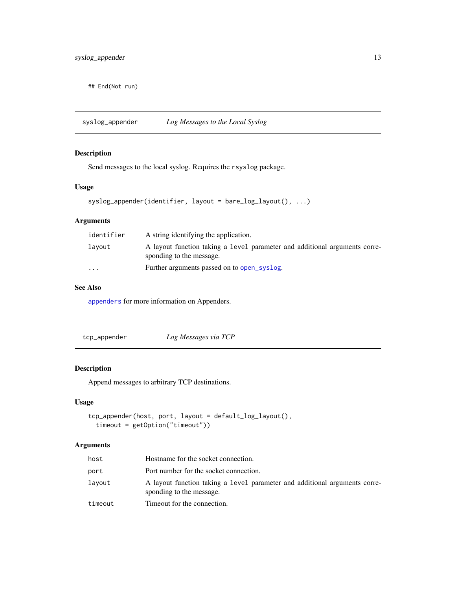<span id="page-12-0"></span>## End(Not run)

<span id="page-12-2"></span>syslog\_appender *Log Messages to the Local Syslog*

#### Description

Send messages to the local syslog. Requires the rsyslog package.

#### Usage

```
syslog_appender(identifier, layout = bare_log_layout(), ...)
```
### Arguments

| identifier | A string identifying the application.                                                                  |
|------------|--------------------------------------------------------------------------------------------------------|
| layout     | A layout function taking a level parameter and additional arguments corre-<br>sponding to the message. |
| $\cdots$   | Further arguments passed on to open_syslog.                                                            |

### See Also

[appenders](#page-2-1) for more information on Appenders.

<span id="page-12-1"></span>

| tcp_appender | Log Messages via TCP |
|--------------|----------------------|
|              |                      |

#### Description

Append messages to arbitrary TCP destinations.

#### Usage

```
tcp_appender(host, port, layout = default_log_layout(),
 timeout = getOption("timeout"))
```
#### Arguments

| host    | Hostname for the socket connection.                                                                    |
|---------|--------------------------------------------------------------------------------------------------------|
| port    | Port number for the socket connection.                                                                 |
| lavout  | A layout function taking a level parameter and additional arguments corre-<br>sponding to the message. |
| timeout | Timeout for the connection.                                                                            |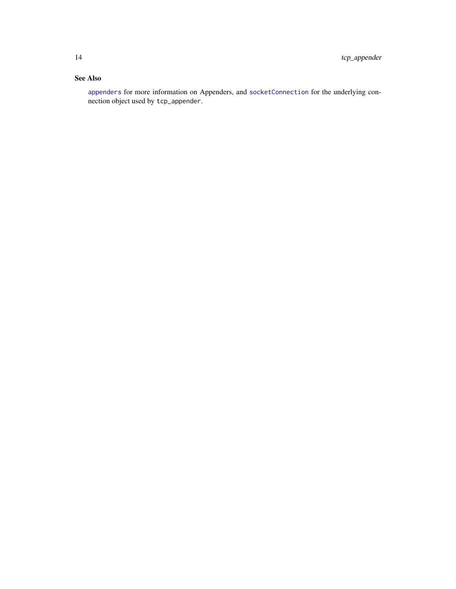#### <span id="page-13-0"></span>See Also

[appenders](#page-2-1) for more information on Appenders, and [socketConnection](#page-0-0) for the underlying connection object used by tcp\_appender.